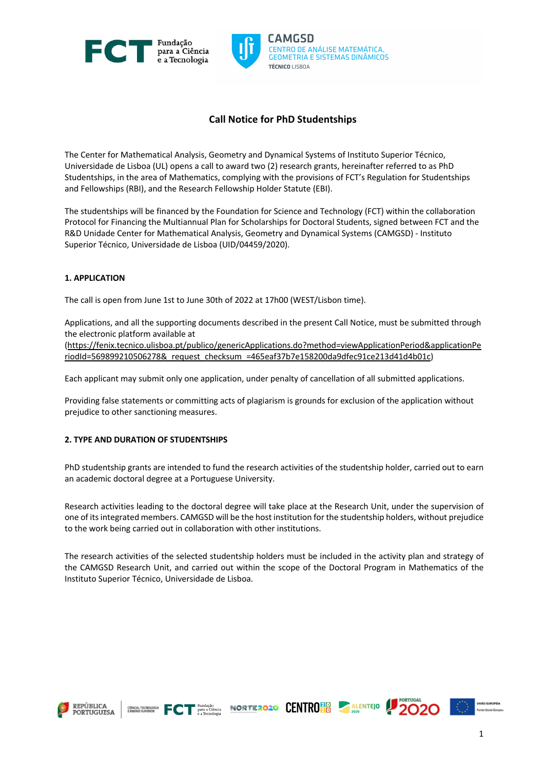



# **Call Notice for PhD Studentships**

The Center for Mathematical Analysis, Geometry and Dynamical Systems of Instituto Superior Técnico, Universidade de Lisboa (UL) opens a call to award two (2) research grants, hereinafter referred to as PhD Studentships, in the area of Mathematics, complying with the provisions of FCT's Regulation for Studentships and Fellowships (RBI), and the Research Fellowship Holder Statute (EBI).

The studentships will be financed by the Foundation for Science and Technology (FCT) within the collaboration Protocol for Financing the Multiannual Plan for Scholarships for Doctoral Students, signed between FCT and the R&D Unidade Center for Mathematical Analysis, Geometry and Dynamical Systems (CAMGSD) - Instituto Superior Técnico, Universidade de Lisboa (UID/04459/2020).

# **1. APPLICATION**

The call is open from June 1st to June 30th of 2022 at 17h00 (WEST/Lisbon time).

Applications, and all the supporting documents described in the present Call Notice, must be submitted through the electronic platform available at

(https://fenix.tecnico.ulisboa.pt/publico/genericApplications.do?method=viewApplicationPeriod&applicationPe riodId=569899210506278&\_request\_checksum\_=465eaf37b7e158200da9dfec91ce213d41d4b01c)

Each applicant may submit only one application, under penalty of cancellation of all submitted applications.

Providing false statements or committing acts of plagiarism is grounds for exclusion of the application without prejudice to other sanctioning measures.

# **2. TYPE AND DURATION OF STUDENTSHIPS**

PhD studentship grants are intended to fund the research activities of the studentship holder, carried out to earn an academic doctoral degree at a Portuguese University.

Research activities leading to the doctoral degree will take place at the Research Unit, under the supervision of one of itsintegrated members. CAMGSD will be the host institution for the studentship holders, without prejudice to the work being carried out in collaboration with other institutions.

The research activities of the selected studentship holders must be included in the activity plan and strategy of the CAMGSD Research Unit, and carried out within the scope of the Doctoral Program in Mathematics of the Instituto Superior Técnico, Universidade de Lisboa.

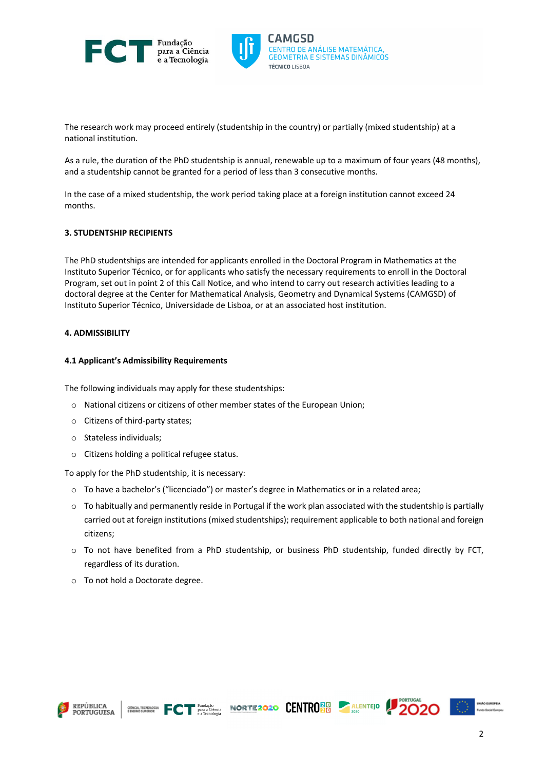



The research work may proceed entirely (studentship in the country) or partially (mixed studentship) at a national institution.

As a rule, the duration of the PhD studentship is annual, renewable up to a maximum of four years (48 months), and a studentship cannot be granted for a period of less than 3 consecutive months.

In the case of a mixed studentship, the work period taking place at a foreign institution cannot exceed 24 months.

# **3. STUDENTSHIP RECIPIENTS**

The PhD studentships are intended for applicants enrolled in the Doctoral Program in Mathematics at the Instituto Superior Técnico, or for applicants who satisfy the necessary requirements to enroll in the Doctoral Program, set out in point 2 of this Call Notice, and who intend to carry out research activities leading to a doctoral degree at the Center for Mathematical Analysis, Geometry and Dynamical Systems (CAMGSD) of Instituto Superior Técnico, Universidade de Lisboa, or at an associated host institution.

# **4. ADMISSIBILITY**

### **4.1 Applicant's Admissibility Requirements**

The following individuals may apply for these studentships:

- o National citizens or citizens of other member states of the European Union;
- o Citizens of third-party states;
- o Stateless individuals;
- o Citizens holding a political refugee status.

To apply for the PhD studentship, it is necessary:

- $\circ$  To have a bachelor's ("licenciado") or master's degree in Mathematics or in a related area;
- $\circ$  To habitually and permanently reside in Portugal if the work plan associated with the studentship is partially carried out at foreign institutions (mixed studentships); requirement applicable to both national and foreign citizens;
- o To not have benefited from a PhD studentship, or business PhD studentship, funded directly by FCT, regardless of its duration.

GINGLY TECHNOLOGICAL FOR PURISSION CONTROLLER ALENTEJO

o To not hold a Doctorate degree.





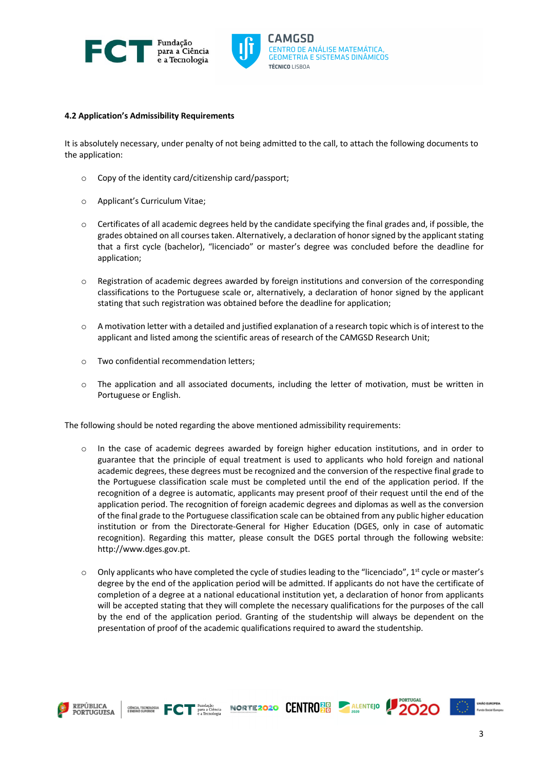



### **4.2 Application's Admissibility Requirements**

It is absolutely necessary, under penalty of not being admitted to the call, to attach the following documents to the application:

- o Copy of the identity card/citizenship card/passport;
- o Applicant's Curriculum Vitae;
- $\circ$  Certificates of all academic degrees held by the candidate specifying the final grades and, if possible, the grades obtained on all courses taken. Alternatively, a declaration of honor signed by the applicant stating that a first cycle (bachelor), "licenciado" or master's degree was concluded before the deadline for application;
- o Registration of academic degrees awarded by foreign institutions and conversion of the corresponding classifications to the Portuguese scale or, alternatively, a declaration of honor signed by the applicant stating that such registration was obtained before the deadline for application;
- $\circ$  A motivation letter with a detailed and justified explanation of a research topic which is of interest to the applicant and listed among the scientific areas of research of the CAMGSD Research Unit;
- o Two confidential recommendation letters;
- $\circ$  The application and all associated documents, including the letter of motivation, must be written in Portuguese or English.

The following should be noted regarding the above mentioned admissibility requirements:

- o In the case of academic degrees awarded by foreign higher education institutions, and in order to guarantee that the principle of equal treatment is used to applicants who hold foreign and national academic degrees, these degrees must be recognized and the conversion of the respective final grade to the Portuguese classification scale must be completed until the end of the application period. If the recognition of a degree is automatic, applicants may present proof of their request until the end of the application period. The recognition of foreign academic degrees and diplomas as well as the conversion of the final grade to the Portuguese classification scale can be obtained from any public higher education institution or from the Directorate-General for Higher Education (DGES, only in case of automatic recognition). Regarding this matter, please consult the DGES portal through the following website: http://www.dges.gov.pt.
- $\circ$  Only applicants who have completed the cycle of studies leading to the "licenciado", 1<sup>st</sup> cycle or master's degree by the end of the application period will be admitted. If applicants do not have the certificate of completion of a degree at a national educational institution yet, a declaration of honor from applicants will be accepted stating that they will complete the necessary qualifications for the purposes of the call by the end of the application period. Granting of the studentship will always be dependent on the presentation of proof of the academic qualifications required to award the studentship.

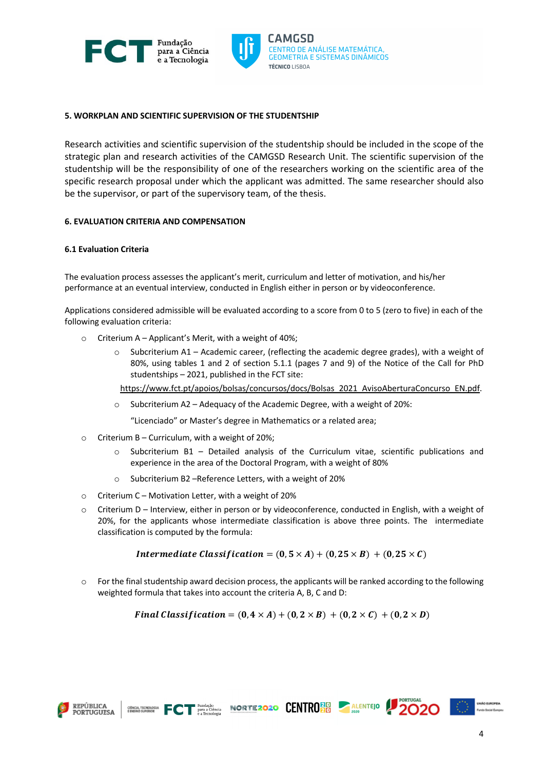



# **5. WORKPLAN AND SCIENTIFIC SUPERVISION OF THE STUDENTSHIP**

Research activities and scientific supervision of the studentship should be included in the scope of the strategic plan and research activities of the CAMGSD Research Unit. The scientific supervision of the studentship will be the responsibility of one of the researchers working on the scientific area of the specific research proposal under which the applicant was admitted. The same researcher should also be the supervisor, or part of the supervisory team, of the thesis.

# **6. EVALUATION CRITERIA AND COMPENSATION**

# **6.1 Evaluation Criteria**

The evaluation process assesses the applicant's merit, curriculum and letter of motivation, and his/her performance at an eventual interview, conducted in English either in person or by videoconference.

Applications considered admissible will be evaluated according to a score from 0 to 5 (zero to five) in each of the following evaluation criteria:

- $\circ$  Criterium A Applicant's Merit, with a weight of 40%;
	- $\circ$  Subcriterium A1 Academic career, (reflecting the academic degree grades), with a weight of 80%, using tables 1 and 2 of section 5.1.1 (pages 7 and 9) of the Notice of the Call for PhD studentships – 2021, published in the FCT site:

https://www.fct.pt/apoios/bolsas/concursos/docs/Bolsas\_2021\_AvisoAberturaConcurso\_EN.pdf.

 $\circ$  Subcriterium A2 – Adequacy of the Academic Degree, with a weight of 20%:

"Licenciado" or Master's degree in Mathematics or a related area;

- $\circ$  Criterium B Curriculum, with a weight of 20%;
	- o Subcriterium B1 Detailed analysis of the Curriculum vitae, scientific publications and experience in the area of the Doctoral Program, with a weight of 80%
	- o Subcriterium B2 –Reference Letters, with a weight of 20%
- o Criterium C Motivation Letter, with a weight of 20%
- $\circ$  Criterium D Interview, either in person or by videoconference, conducted in English, with a weight of 20%, for the applicants whose intermediate classification is above three points. The intermediate classification is computed by the formula:

Intermediate Classification =  $(0, 5 \times A) + (0, 25 \times B) + (0, 25 \times C)$ 

o For the final studentship award decision process, the applicants will be ranked according to the following weighted formula that takes into account the criteria A, B, C and D:

$$
Final Classification = (0, 4 \times A) + (0, 2 \times B) + (0, 2 \times C) + (0, 2 \times D)
$$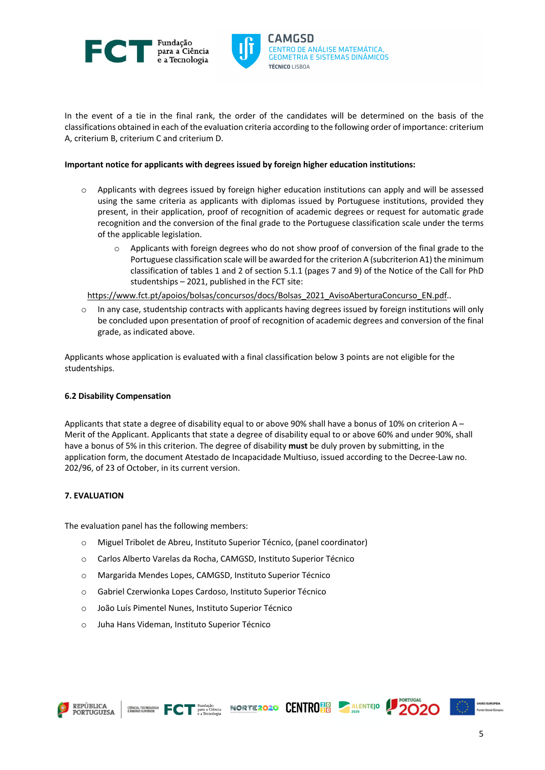



In the event of a tie in the final rank, the order of the candidates will be determined on the basis of the classifications obtained in each of the evaluation criteria according to the following order of importance: criterium A, criterium B, criterium C and criterium D.

### **Important notice for applicants with degrees issued by foreign higher education institutions:**

- $\circ$  Applicants with degrees issued by foreign higher education institutions can apply and will be assessed using the same criteria as applicants with diplomas issued by Portuguese institutions, provided they present, in their application, proof of recognition of academic degrees or request for automatic grade recognition and the conversion of the final grade to the Portuguese classification scale under the terms of the applicable legislation.
	- $\circ$  Applicants with foreign degrees who do not show proof of conversion of the final grade to the Portuguese classification scale will be awarded forthe criterion A (subcriterion A1) the minimum classification of tables 1 and 2 of section 5.1.1 (pages 7 and 9) of the Notice of the Call for PhD studentships – 2021, published in the FCT site:

https://www.fct.pt/apoios/bolsas/concursos/docs/Bolsas\_2021\_AvisoAberturaConcurso\_EN.pdf..

o In any case, studentship contracts with applicants having degrees issued by foreign institutions will only be concluded upon presentation of proof of recognition of academic degrees and conversion of the final grade, as indicated above.

Applicants whose application is evaluated with a final classification below 3 points are not eligible for the studentships.

# **6.2 Disability Compensation**

Applicants that state a degree of disability equal to or above 90% shall have a bonus of 10% on criterion A – Merit of the Applicant. Applicants that state a degree of disability equal to or above 60% and under 90%, shall have a bonus of 5% in this criterion. The degree of disability **must** be duly proven by submitting, in the application form, the document Atestado de Incapacidade Multiuso, issued according to the Decree-Law no. 202/96, of 23 of October, in its current version.

# **7. EVALUATION**

The evaluation panel has the following members:

- o Miguel Tribolet de Abreu, Instituto Superior Técnico, (panel coordinator)
- o Carlos Alberto Varelas da Rocha, CAMGSD, Instituto Superior Técnico
- o Margarida Mendes Lopes, CAMGSD, Instituto Superior Técnico
- o Gabriel Czerwionka Lopes Cardoso, Instituto Superior Técnico
- o João Luís Pimentel Nunes, Instituto Superior Técnico
- o Juha Hans Videman, Instituto Superior Técnico

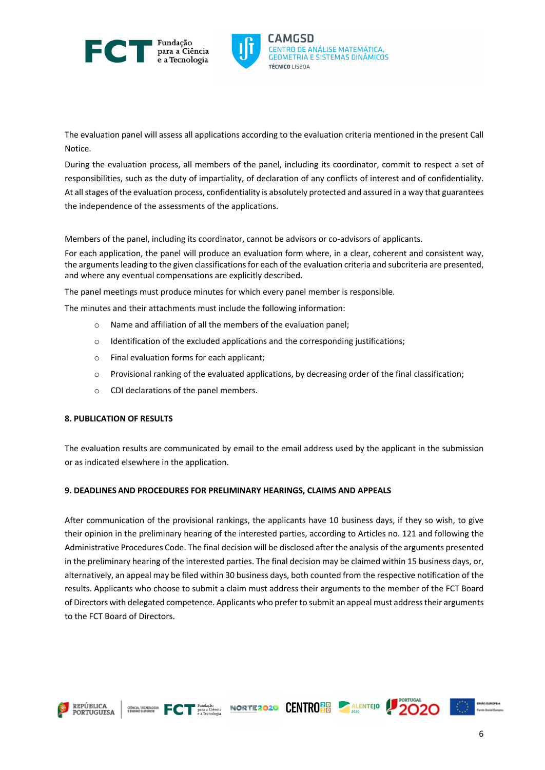



RO DE ANÁLISE MATEMÁTICA. **GEOMETRIA E SISTEMAS DINÂMICOS TÉCNICO LISROA** 

The evaluation panel will assess all applications according to the evaluation criteria mentioned in the present Call Notice.

During the evaluation process, all members of the panel, including its coordinator, commit to respect a set of responsibilities, such as the duty of impartiality, of declaration of any conflicts of interest and of confidentiality. At all stages of the evaluation process, confidentiality is absolutely protected and assured in a way that guarantees the independence of the assessments of the applications.

Members of the panel, including its coordinator, cannot be advisors or co-advisors of applicants.

For each application, the panel will produce an evaluation form where, in a clear, coherent and consistent way, the arguments leading to the given classifications for each of the evaluation criteria and subcriteria are presented, and where any eventual compensations are explicitly described.

The panel meetings must produce minutes for which every panel member is responsible.

The minutes and their attachments must include the following information:

- o Name and affiliation of all the members of the evaluation panel;
- $\circ$  Identification of the excluded applications and the corresponding justifications;
- o Final evaluation forms for each applicant;
- $\circ$  Provisional ranking of the evaluated applications, by decreasing order of the final classification;
- o CDI declarations of the panel members.

# **8. PUBLICATION OF RESULTS**

The evaluation results are communicated by email to the email address used by the applicant in the submission or as indicated elsewhere in the application.

# **9. DEADLINES AND PROCEDURES FOR PRELIMINARY HEARINGS, CLAIMS AND APPEALS**

After communication of the provisional rankings, the applicants have 10 business days, if they so wish, to give their opinion in the preliminary hearing of the interested parties, according to Articles no. 121 and following the Administrative Procedures Code. The final decision will be disclosed after the analysis of the arguments presented in the preliminary hearing of the interested parties. The final decision may be claimed within 15 business days, or, alternatively, an appeal may be filed within 30 business days, both counted from the respective notification of the results. Applicants who choose to submit a claim must address their arguments to the member of the FCT Board of Directors with delegated competence. Applicants who preferto submit an appeal must addresstheir arguments to the FCT Board of Directors.

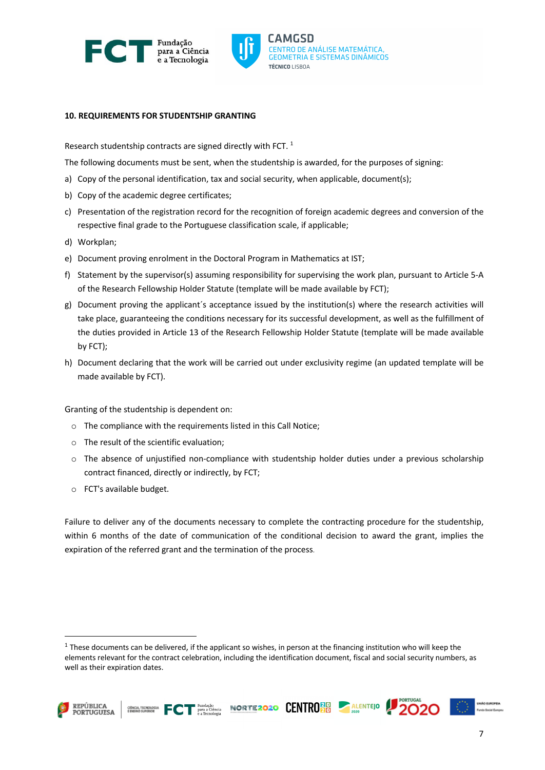



### **10. REQUIREMENTS FOR STUDENTSHIP GRANTING**

Research studentship contracts are signed directly with FCT.  $1$ 

The following documents must be sent, when the studentship is awarded, for the purposes of signing:

- a) Copy of the personal identification, tax and social security, when applicable, document(s);
- b) Copy of the academic degree certificates;
- c) Presentation of the registration record for the recognition of foreign academic degrees and conversion of the respective final grade to the Portuguese classification scale, if applicable;
- d) Workplan;
- e) Document proving enrolment in the Doctoral Program in Mathematics at IST;
- f) Statement by the supervisor(s) assuming responsibility for supervising the work plan, pursuant to Article 5-A of the Research Fellowship Holder Statute (template will be made available by FCT);
- g) Document proving the applicant´s acceptance issued by the institution(s) where the research activities will take place, guaranteeing the conditions necessary for its successful development, as well as the fulfillment of the duties provided in Article 13 of the Research Fellowship Holder Statute (template will be made available by FCT);
- h) Document declaring that the work will be carried out under exclusivity regime (an updated template will be made available by FCT).

Granting of the studentship is dependent on:

- o The compliance with the requirements listed in this Call Notice;
- o The result of the scientific evaluation;
- o The absence of unjustified non-compliance with studentship holder duties under a previous scholarship contract financed, directly or indirectly, by FCT;
- o FCT's available budget.

Failure to deliver any of the documents necessary to complete the contracting procedure for the studentship, within 6 months of the date of communication of the conditional decision to award the grant, implies the expiration of the referred grant and the termination of the process.

 $1$  These documents can be delivered, if the applicant so wishes, in person at the financing institution who will keep the elements relevant for the contract celebration, including the identification document, fiscal and social security numbers, as well as their expiration dates.

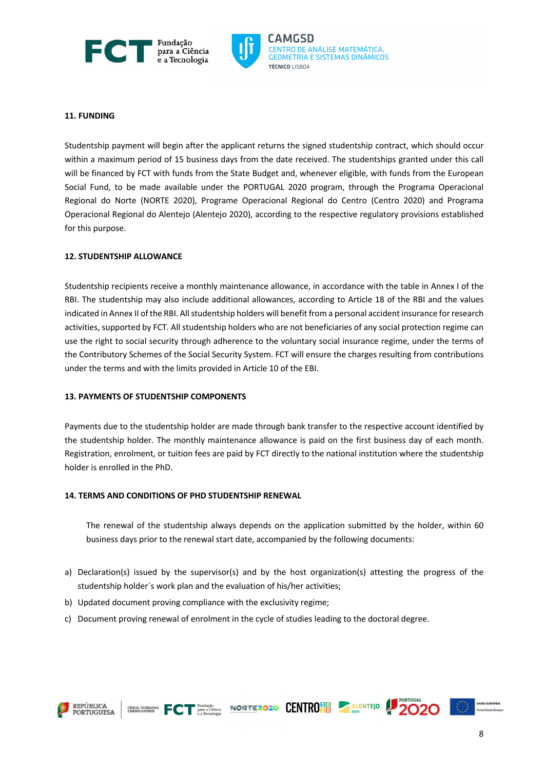



# **11. FUNDING**

Studentship payment will begin after the applicant returns the signed studentship contract, which should occur within a maximum period of 15 business days from the date received. The studentships granted under this call will be financed by FCT with funds from the State Budget and, whenever eligible, with funds from the European Social Fund, to be made available under the PORTUGAL 2020 program, through the Programa Operacional Regional do Norte (NORTE 2020), Programe Operacional Regional do Centro (Centro 2020) and Programa Operacional Regional do Alentejo (Alentejo 2020), according to the respective regulatory provisions established for this purpose.

# **12. STUDENTSHIP ALLOWANCE**

Studentship recipients receive a monthly maintenance allowance, in accordance with the table in Annex I of the RBI. The studentship may also include additional allowances, according to Article 18 of the RBI and the values indicated in Annex II of the RBI. All studentship holders will benefit from a personal accident insurance for research activities, supported by FCT. All studentship holders who are not beneficiaries of any social protection regime can use the right to social security through adherence to the voluntary social insurance regime, under the terms of the Contributory Schemes of the Social Security System. FCT will ensure the charges resulting from contributions under the terms and with the limits provided in Article 10 of the EBI.

#### **13. PAYMENTS OF STUDENTSHIP COMPONENTS**

Payments due to the studentship holder are made through bank transfer to the respective account identified by the studentship holder. The monthly maintenance allowance is paid on the first business day of each month. Registration, enrolment, or tuition fees are paid by FCT directly to the national institution where the studentship holder is enrolled in the PhD.

### **14. TERMS AND CONDITIONS OF PHD STUDENTSHIP RENEWAL**

The renewal of the studentship always depends on the application submitted by the holder, within 60 business days prior to the renewal start date, accompanied by the following documents:

- a) Declaration(s) issued by the supervisor(s) and by the host organization(s) attesting the progress of the studentship holder´s work plan and the evaluation of his/her activities;
- b) Updated document proving compliance with the exclusivity regime;
- c) Document proving renewal of enrolment in the cycle of studies leading to the doctoral degree.